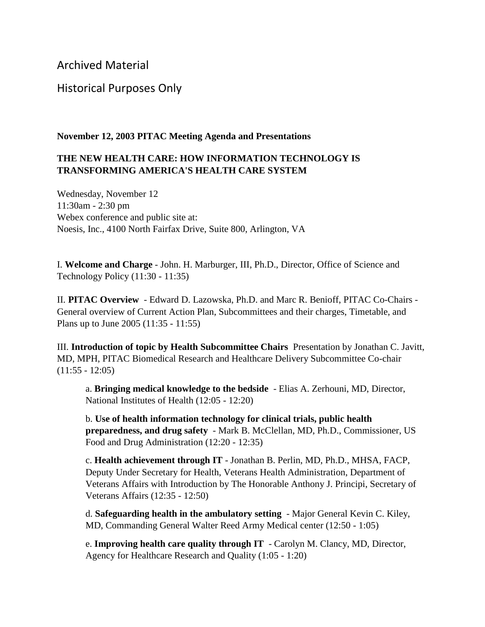Archived Material

## Historical Purposes Only

## **November 12, 2003 PITAC Meeting Agenda and Presentations**

## **THE NEW HEALTH CARE: HOW INFORMATION TECHNOLOGY IS TRANSFORMING AMERICA'S HEALTH CARE SYSTEM**

Wednesday, November 12 11:30am - 2:30 pm Webex conference and public site at: Noesis, Inc., 4100 North Fairfax Drive, Suite 800, Arlington, VA

I. **Welcome and Charge** - John. H. Marburger, III, Ph.D., Director, Office of Science and Technology Policy (11:30 - 11:35)

II. **PITAC Overview** - Edward D. Lazowska, Ph.D. and Marc R. Benioff, PITAC Co-Chairs - General overview of Current Action Plan, Subcommittees and their charges, Timetable, and Plans up to June 2005 (11:35 - 11:55)

III. **Introduction of topic by Health Subcommittee Chairs** Presentation by Jonathan C. Javitt, MD, MPH, PITAC Biomedical Research and Healthcare Delivery Subcommittee Co-chair  $(11:55 - 12:05)$ 

a. **Bringing medical knowledge to the bedside** - Elias A. Zerhouni, MD, Director, National Institutes of Health (12:05 - 12:20)

b. **Use of health information technology for clinical trials, public health preparedness, and drug safety** - Mark B. McClellan, MD, Ph.D., Commissioner, US Food and Drug Administration (12:20 - 12:35)

c. **Health achievement through IT** - Jonathan B. Perlin, MD, Ph.D., MHSA, FACP, Deputy Under Secretary for Health, Veterans Health Administration, Department of Veterans Affairs with Introduction by The Honorable Anthony J. Principi, Secretary of Veterans Affairs (12:35 - 12:50)

d. **Safeguarding health in the ambulatory setting** - Major General Kevin C. Kiley, MD, Commanding General Walter Reed Army Medical center (12:50 - 1:05)

e. **Improving health care quality through IT** - Carolyn M. Clancy, MD, Director, Agency for Healthcare Research and Quality (1:05 - 1:20)